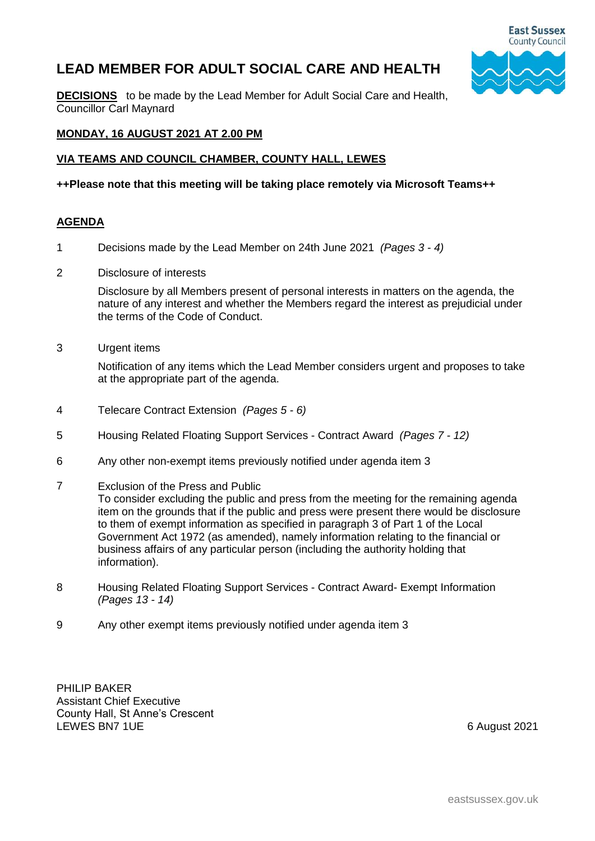# **LEAD MEMBER FOR ADULT SOCIAL CARE AND HEALTH**

**East Sussex County Council** 

**DECISIONS** to be made by the Lead Member for Adult Social Care and Health, Councillor Carl Maynard

## **MONDAY, 16 AUGUST 2021 AT 2.00 PM**

# **VIA TEAMS AND COUNCIL CHAMBER, COUNTY HALL, LEWES**

### **++Please note that this meeting will be taking place remotely via Microsoft Teams++**

## **AGENDA**

- 1 Decisions made by the Lead Member on 24th June 2021 *(Pages 3 - 4)*
- 2 Disclosure of interests

Disclosure by all Members present of personal interests in matters on the agenda, the nature of any interest and whether the Members regard the interest as prejudicial under the terms of the Code of Conduct.

3 Urgent items

Notification of any items which the Lead Member considers urgent and proposes to take at the appropriate part of the agenda.

- 4 Telecare Contract Extension *(Pages 5 - 6)*
- 5 Housing Related Floating Support Services Contract Award *(Pages 7 - 12)*
- 6 Any other non-exempt items previously notified under agenda item 3
- 7 Exclusion of the Press and Public To consider excluding the public and press from the meeting for the remaining agenda item on the grounds that if the public and press were present there would be disclosure to them of exempt information as specified in paragraph 3 of Part 1 of the Local Government Act 1972 (as amended), namely information relating to the financial or business affairs of any particular person (including the authority holding that information).
- 8 Housing Related Floating Support Services Contract Award- Exempt Information *(Pages 13 - 14)*
- 9 Any other exempt items previously notified under agenda item 3

PHILIP BAKER Assistant Chief Executive County Hall, St Anne's Crescent LEWES BN7 1UE 6 August 2021